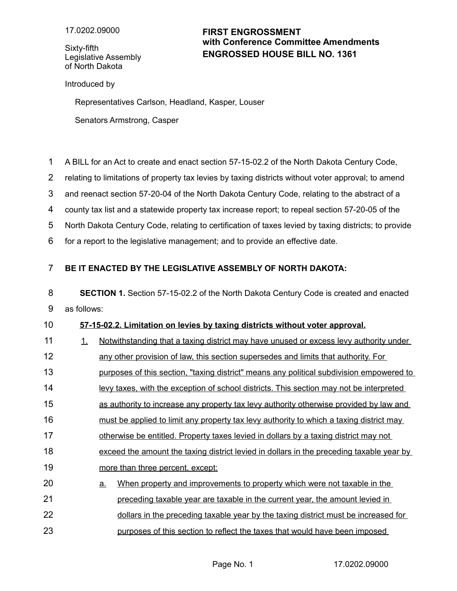Sixty-fifth Legislative Assembly of North Dakota

## **ENGROSSED HOUSE BILL NO. 1361 FIRST ENGROSSMENT with Conference Committee Amendments**

Introduced by

Representatives Carlson, Headland, Kasper, Louser

Senators Armstrong, Casper

A BILL for an Act to create and enact section 57-15-02.2 of the North Dakota Century Code, 1

relating to limitations of property tax levies by taxing districts without voter approval; to amend 2

and reenact section 57-20-04 of the North Dakota Century Code, relating to the abstract of a 3

county tax list and a statewide property tax increase report; to repeal section 57-20-05 of the 4

North Dakota Century Code, relating to certification of taxes levied by taxing districts; to provide 5

for a report to the legislative management; and to provide an effective date. 6

## **BE IT ENACTED BY THE LEGISLATIVE ASSEMBLY OF NORTH DAKOTA:** 7

**SECTION 1.** Section 57-15-02.2 of the North Dakota Century Code is created and enacted as follows: 8 9

## **57 - 15 - 02.2. Limitation on levies by taxing districts without voter approval.** 10

- 1. Notwithstanding that a taxing district may have unused or excess levy authority under 11
- any other provision of law, this section supersedes and limits that authority. For 12

purposes of this section, "taxing district" means any political subdivision empowered to 13

- levy taxes, with the exception of school districts. This section may not be interpreted 14
- as authority to increase any property tax levy authority otherwise provided by law and 15
- must be applied to limit any property tax levy authority to which a taxing district may 16
- otherwise be entitled. Property taxes levied in dollars by a taxing district may not 17
- exceed the amount the taxing district levied in dollars in the preceding taxable year by 18
- more than three percent, except: 19
- a. When property and improvements to property which were not taxable in the preceding taxable year are taxable in the current year, the amount levied in dollars in the preceding taxable year by the taxing district must be increased for 20 21 22
- purposes of this section to reflect the taxes that would have been imposed 23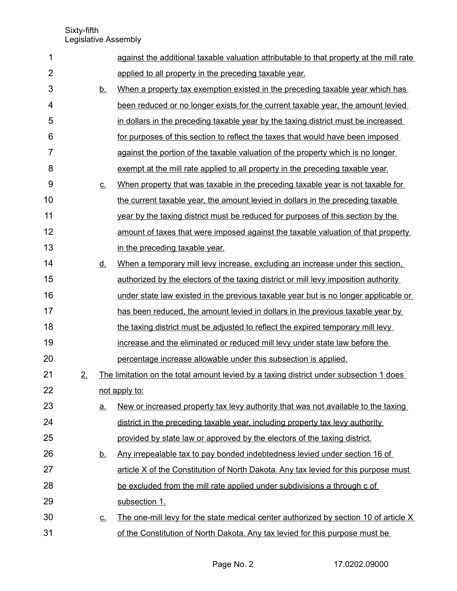Sixty-fifth Legislative Assembly

| 1              |    |                            | against the additional taxable valuation attributable to that property at the mill rate |
|----------------|----|----------------------------|-----------------------------------------------------------------------------------------|
| $\overline{2}$ |    |                            | applied to all property in the preceding taxable year.                                  |
| 3              |    | <u>b.</u>                  | When a property tax exemption existed in the preceding taxable year which has           |
| 4              |    |                            | been reduced or no longer exists for the current taxable year, the amount levied        |
| 5              |    |                            | in dollars in the preceding taxable year by the taxing district must be increased       |
| 6              |    |                            | for purposes of this section to reflect the taxes that would have been imposed          |
| $\overline{7}$ |    |                            | against the portion of the taxable valuation of the property which is no longer         |
| 8              |    |                            | exempt at the mill rate applied to all property in the preceding taxable year.          |
| 9              |    | $\underline{\mathsf{C}}$ . | When property that was taxable in the preceding taxable year is not taxable for         |
| 10             |    |                            | the current taxable year, the amount levied in dollars in the preceding taxable         |
| 11             |    |                            | year by the taxing district must be reduced for purposes of this section by the         |
| 12             |    |                            | amount of taxes that were imposed against the taxable valuation of that property        |
| 13             |    |                            | in the preceding taxable year.                                                          |
| 14             |    | <u>d.</u>                  | When a temporary mill levy increase, excluding an increase under this section,          |
| 15             |    |                            | authorized by the electors of the taxing district or mill levy imposition authority     |
| 16             |    |                            | under state law existed in the previous taxable year but is no longer applicable or     |
| 17             |    |                            | has been reduced, the amount levied in dollars in the previous taxable year by          |
| 18             |    |                            | the taxing district must be adjusted to reflect the expired temporary mill levy         |
| 19             |    |                            | increase and the eliminated or reduced mill levy under state law before the             |
| 20             |    |                            | percentage increase allowable under this subsection is applied.                         |
| 21             | 2. |                            | The limitation on the total amount levied by a taxing district under subsection 1 does  |
| 22             |    |                            | not apply to:                                                                           |
| 23             |    | <u>a.</u>                  | New or increased property tax levy authority that was not available to the taxing       |
| 24             |    |                            | district in the preceding taxable year, including property tax levy authority           |
| 25             |    |                            | provided by state law or approved by the electors of the taxing district.               |
| 26             |    | <u>b.</u>                  | Any irrepealable tax to pay bonded indebtedness levied under section 16 of              |
| 27             |    |                            | article X of the Constitution of North Dakota. Any tax levied for this purpose must     |
| 28             |    |                            | be excluded from the mill rate applied under subdivisions a through c of                |
| 29             |    |                            | subsection 1.                                                                           |
| 30             |    | $\underline{\mathbf{C}}$ . | The one-mill levy for the state medical center authorized by section 10 of article X    |
| 31             |    |                            | of the Constitution of North Dakota. Any tax levied for this purpose must be            |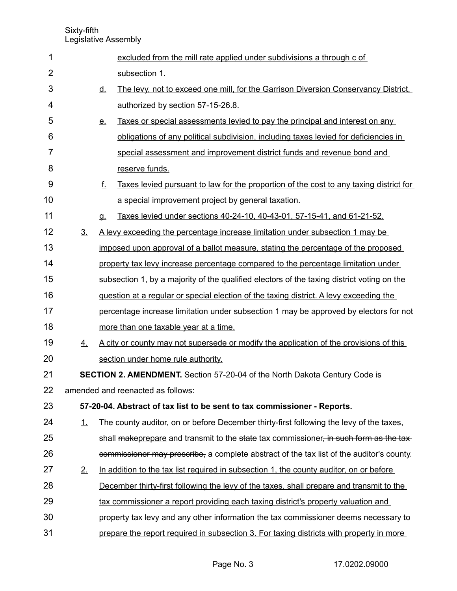Sixty-fifth Legislative Assembly

| 1              |                                                                                   |                                                                                   | excluded from the mill rate applied under subdivisions a through c of                         |  |  |  |  |
|----------------|-----------------------------------------------------------------------------------|-----------------------------------------------------------------------------------|-----------------------------------------------------------------------------------------------|--|--|--|--|
| $\overline{2}$ |                                                                                   |                                                                                   | subsection 1.                                                                                 |  |  |  |  |
| 3              |                                                                                   | <u>d.</u>                                                                         | The levy, not to exceed one mill, for the Garrison Diversion Conservancy District,            |  |  |  |  |
| 4              |                                                                                   |                                                                                   | authorized by section 57-15-26.8.                                                             |  |  |  |  |
| 5              |                                                                                   | <u>e.</u>                                                                         | Taxes or special assessments levied to pay the principal and interest on any                  |  |  |  |  |
| 6              |                                                                                   |                                                                                   | obligations of any political subdivision, including taxes levied for deficiencies in          |  |  |  |  |
| 7              |                                                                                   |                                                                                   | special assessment and improvement district funds and revenue bond and                        |  |  |  |  |
| 8              |                                                                                   |                                                                                   | reserve funds.                                                                                |  |  |  |  |
| 9              |                                                                                   | f.                                                                                | <u>Taxes levied pursuant to law for the proportion of the cost to any taxing district for</u> |  |  |  |  |
| 10             |                                                                                   |                                                                                   | a special improvement project by general taxation.                                            |  |  |  |  |
| 11             |                                                                                   | <b>g.</b>                                                                         | Taxes levied under sections 40-24-10, 40-43-01, 57-15-41, and 61-21-52.                       |  |  |  |  |
| 12             | 3 <sub>1</sub>                                                                    |                                                                                   | A levy exceeding the percentage increase limitation under subsection 1 may be                 |  |  |  |  |
| 13             |                                                                                   | imposed upon approval of a ballot measure, stating the percentage of the proposed |                                                                                               |  |  |  |  |
| 14             |                                                                                   |                                                                                   | property tax levy increase percentage compared to the percentage limitation under             |  |  |  |  |
| 15             |                                                                                   |                                                                                   | subsection 1, by a majority of the qualified electors of the taxing district voting on the    |  |  |  |  |
| 16             |                                                                                   |                                                                                   | <u>question at a regular or special election of the taxing district. A levy exceeding the</u> |  |  |  |  |
| 17             |                                                                                   |                                                                                   | percentage increase limitation under subsection 1 may be approved by electors for not         |  |  |  |  |
| 18             |                                                                                   |                                                                                   | more than one taxable year at a time.                                                         |  |  |  |  |
| 19             | 4.                                                                                |                                                                                   | A city or county may not supersede or modify the application of the provisions of this        |  |  |  |  |
| 20             |                                                                                   |                                                                                   | section under home rule authority.                                                            |  |  |  |  |
| 21             | <b>SECTION 2. AMENDMENT.</b> Section 57-20-04 of the North Dakota Century Code is |                                                                                   |                                                                                               |  |  |  |  |
| 22             | amended and reenacted as follows:                                                 |                                                                                   |                                                                                               |  |  |  |  |
| 23             | 57-20-04. Abstract of tax list to be sent to tax commissioner - Reports.          |                                                                                   |                                                                                               |  |  |  |  |
| 24             | $\perp$                                                                           |                                                                                   | The county auditor, on or before December thirty-first following the levy of the taxes,       |  |  |  |  |
| 25             |                                                                                   |                                                                                   | shall makeprepare and transmit to the state tax commissioner, in such form as the tax-        |  |  |  |  |
| 26             |                                                                                   |                                                                                   | commissioner may prescribe, a complete abstract of the tax list of the auditor's county.      |  |  |  |  |
| 27             | 2.                                                                                |                                                                                   | In addition to the tax list required in subsection 1, the county auditor, on or before        |  |  |  |  |
| 28             |                                                                                   |                                                                                   | December thirty-first following the levy of the taxes, shall prepare and transmit to the      |  |  |  |  |
| 29             |                                                                                   |                                                                                   | tax commissioner a report providing each taxing district's property valuation and             |  |  |  |  |
| 30             |                                                                                   |                                                                                   | property tax levy and any other information the tax commissioner deems necessary to           |  |  |  |  |
| 31             |                                                                                   |                                                                                   | prepare the report required in subsection 3. For taxing districts with property in more       |  |  |  |  |